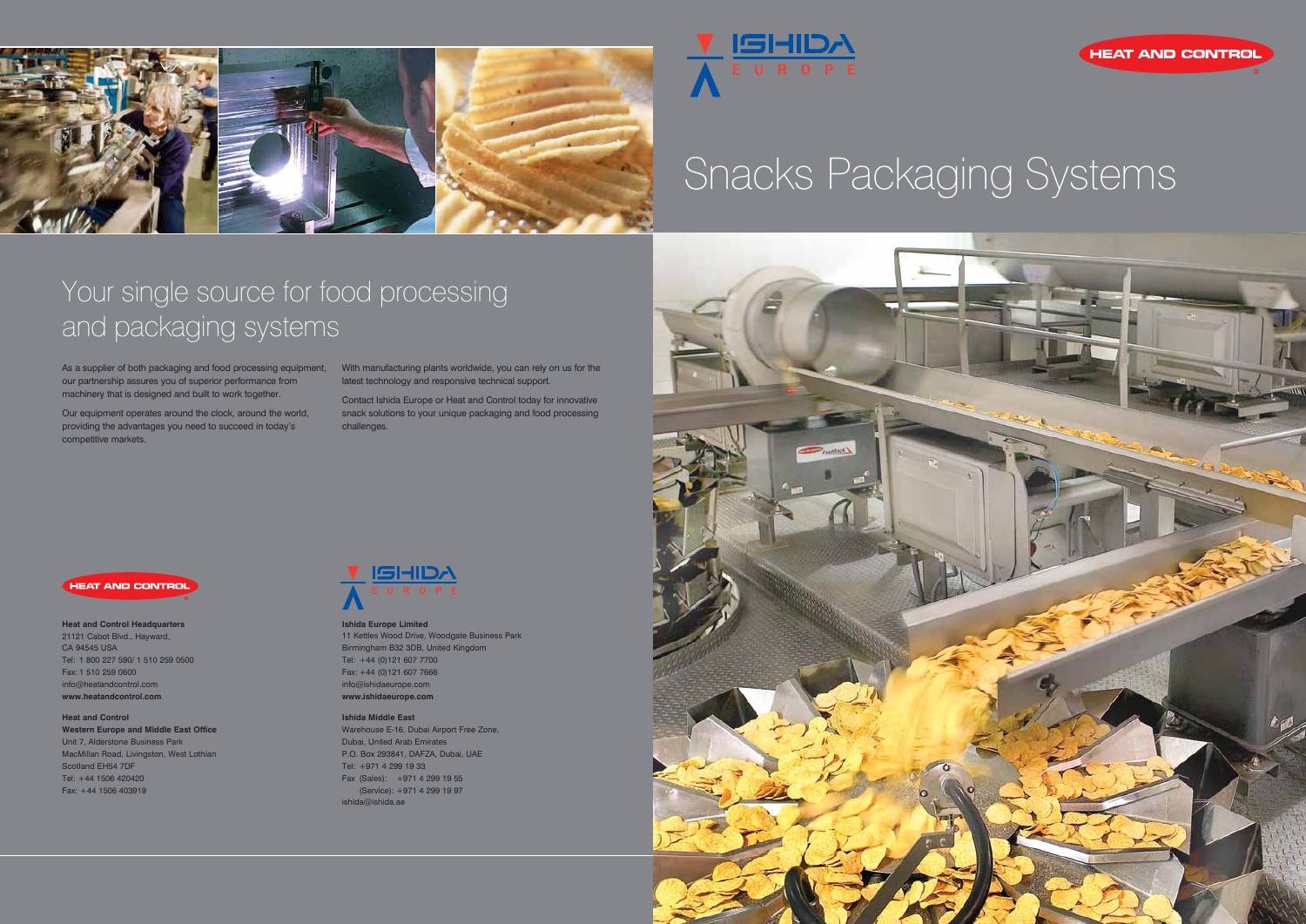



# Snacks Packaging Systems

## Your single source for food processing and packaging systems

As a supplier of both packaging and food processing equipment, With manufacturing plants worldwide, you can rely on us for the our partnership assures you of superior performance from machinery that is designed and built to work together.

Our equipment operates around the clock, around the world, providing the advantages you need to succeed in today's competitive markets.

latest technology and responsive technical support.

Contact Ishida Europe or Heat and Control today for innovative snack solutions to your unique packaging and food processing challenges.



**Ishida Europe Limited** 11 Kettles Wood Drive, Woodgate Business Park Birmingham B32 3DB, United Kingdom Tel: +44 (0)121 607 7700 Fax: +44 (0)121 607 7666 info@ishidaeurope.com **www.ishidaeurope.com**

### **Ishida Middle East**

Warehouse E-16, Dubai Airport Free Zone, Dubai, United Arab Emirates P.O. Box 293841, DAFZA, Dubai, UAE Tel: +971 4 299 19 33 Fax (Sales): +971 4 299 19 55 (Service): +971 4 299 19 97 ishida@ishida.ae





### **Heat and Control Headquarters**

21121 Cabot Blvd., Hayward, CA 94545 USA Tel: 1 800 227 590/ 1 510 259 0500 Fax: 1 510 259 0600 info@heatandcontrol.com **www.heatandcontrol.com**

### **Heat and Control Western Europe and Middle East Office** Unit 7, Alderstone Business Park MacMillan Road, Livingston, West Lothian Scotland EH54 7DF Tel: +44 1506 420420 Fax: +44 1506 403919

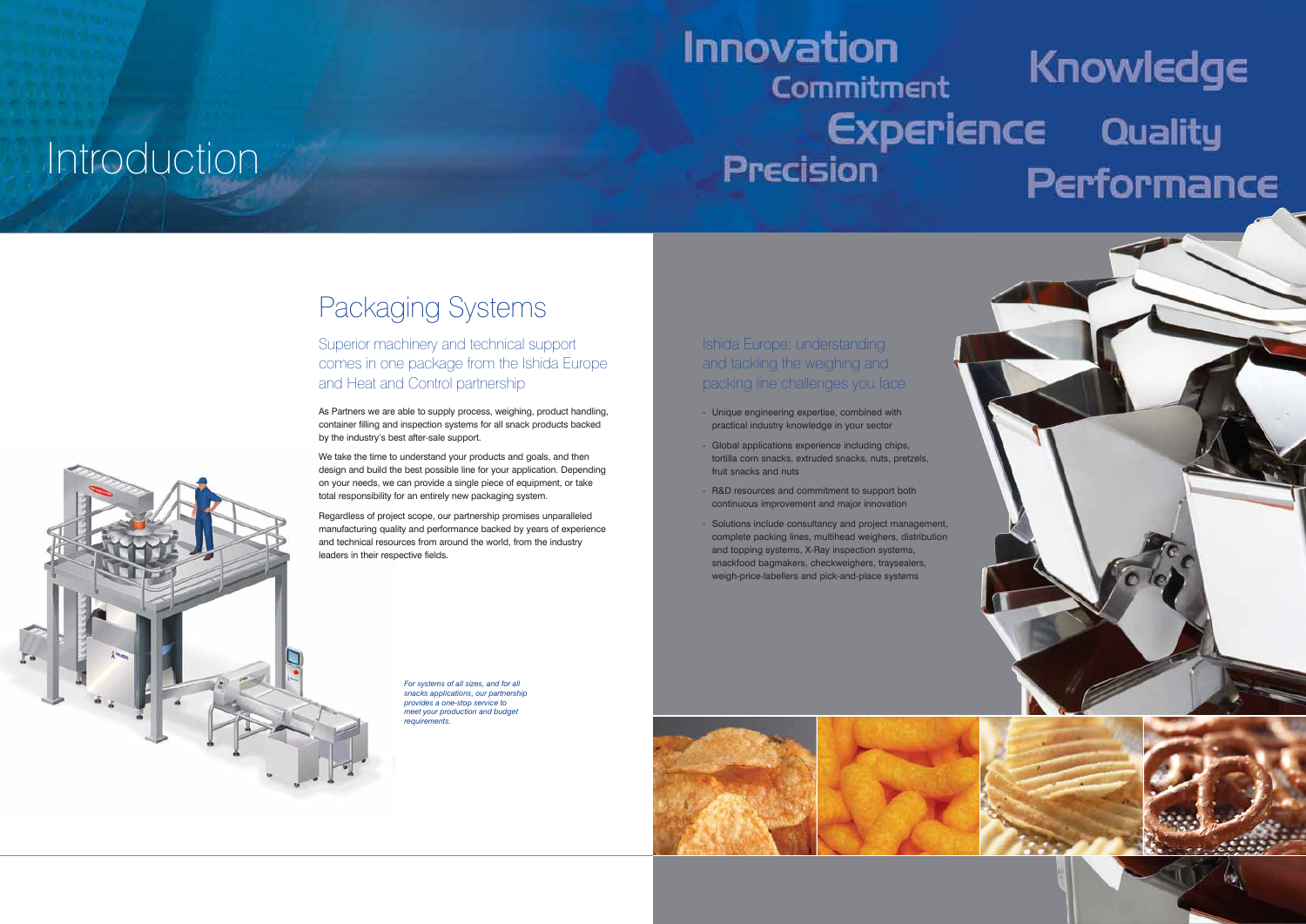



- practical industry knowledge in your sector
- Global applications experience including chips, tortilla corn snacks, extruded snacks, nuts, pretzels, fruit snacks and nuts
- R&D resources and commitment to support both continuous improvement and major innovation
- Solutions include consultancy and project management, complete packing lines, multihead weighers, distribution and topping systems, X-Ray inspection systems, snackfood bagmakers, checkweighers, traysealers, weigh-price-labellers and pick-and-place systems

We take the time to understand your products and goals, and then design and build the best possible line for your application. Depending on your needs, we can provide a single piece of equipment, or take total responsibility for an entirely new packaging system.

## **Innovation** Knowledge Commitment **Experience Quality** Precision Performance

## Packaging Systems

### Superior machinery and technical support comes in one package from the Ishida Europe and Heat and Control partnership

As Partners we are able to supply process, weighing, product handling, container filling and inspection systems for all snack products backed by the industry's best after-sale support.

Regardless of project scope, our partnership promises unparalleled manufacturing quality and performance backed by years of experience and technical resources from around the world, from the industry leaders in their respective fields.

# Introduction

*For systems of all sizes, and for all snacks applications, our partnership provides a one-stop service to meet your production and budget requirements.*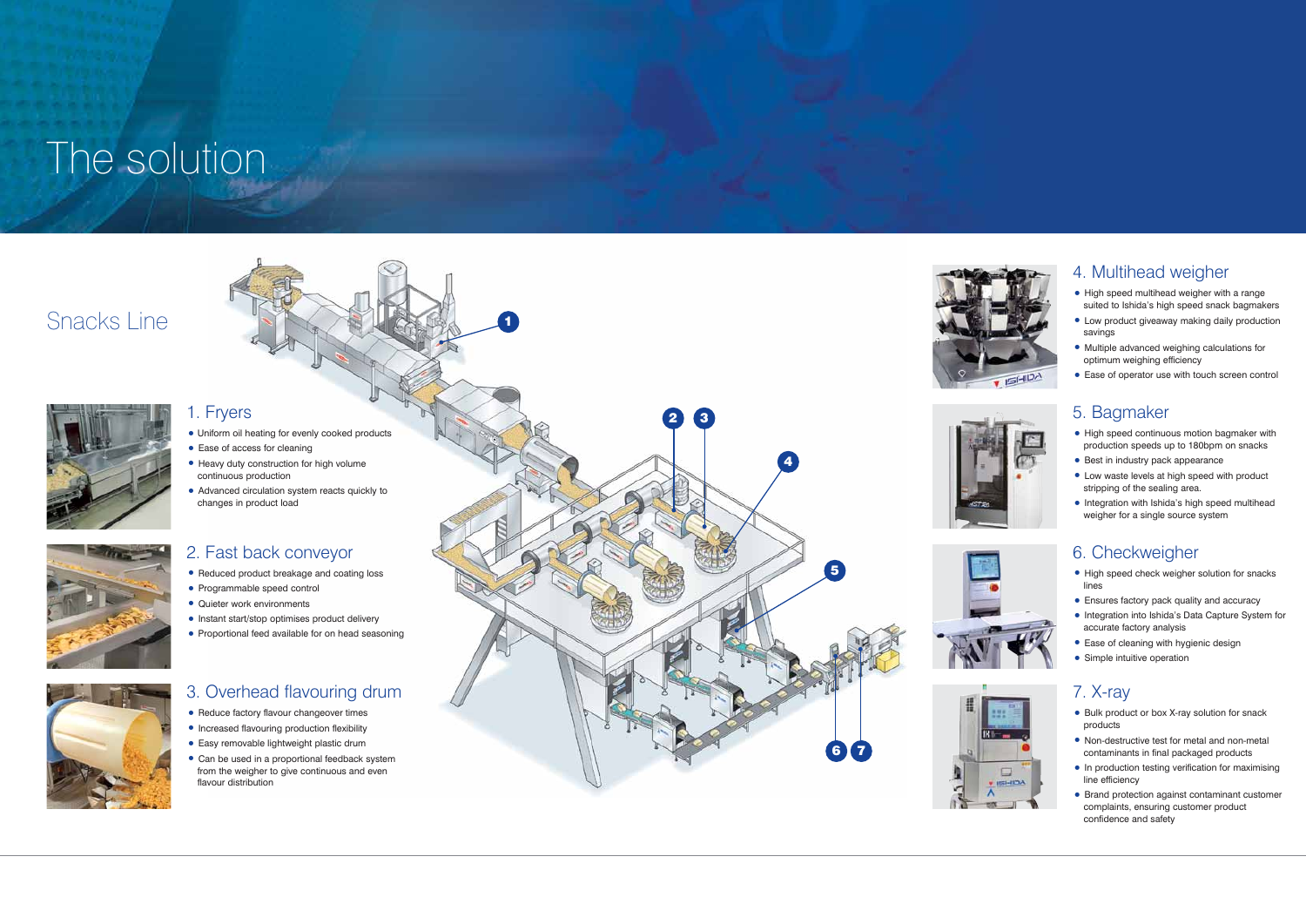### 1. Fryers

- Uniform oil heating for evenly cooked products Ease of access for cleaning Heavy duty construction for high volume
- 
- continuous production

• Advanced circulation system reacts quickly to changes in product load

### 5. Bagmaker

- High speed continuous motion bagmaker with production speeds up to 180bpm on snacks
- 
- Best in industry pack appearance Low waste levels at high speed with product stripping of the sealing area.
- Integration with Ishida's high speed multihead weigher for a single source system

### 4. Multihead weigher

- 
- 
- 
- Reduce factory flavour changeover times Increased flavouring production flexibility Easy removable lightweight plastic drum Can be used in a proportional feedback system from the weigher to give continuous and even flavour distribution
- High speed multihead weigher with a range suited to Ishida's high speed snack bagmakers
- Low product giveaway making daily production savings
- Multiple advanced weighing calculations for optimum weighing efficiency
- Ease of operator use with touch screen control

2. Fast back conveyor

• Reduced product breakage and coating loss • Programmable speed control • Quieter work environments • Instant start/stop optimises product delivery • Proportional feed available for on head seasoning



### 6. Checkweigher

- High speed check weigher solution for snacks lines
- 
- Ensures factory pack quality and accuracy Integration into Ishida's Data Capture System for accurate factory analysis
- Ease of cleaning with hygienic design Simple intuitive operation
- 



### 7. X-ray

- Bulk product or box X-ray solution for snack products
- Non-destructive test for metal and non-metal contaminants in final packaged products
- In production testing verification for maximising line efficiency
- Brand protection against contaminant customer complaints, ensuring customer product confidence and safety

# The solution

## Snacks Line



1